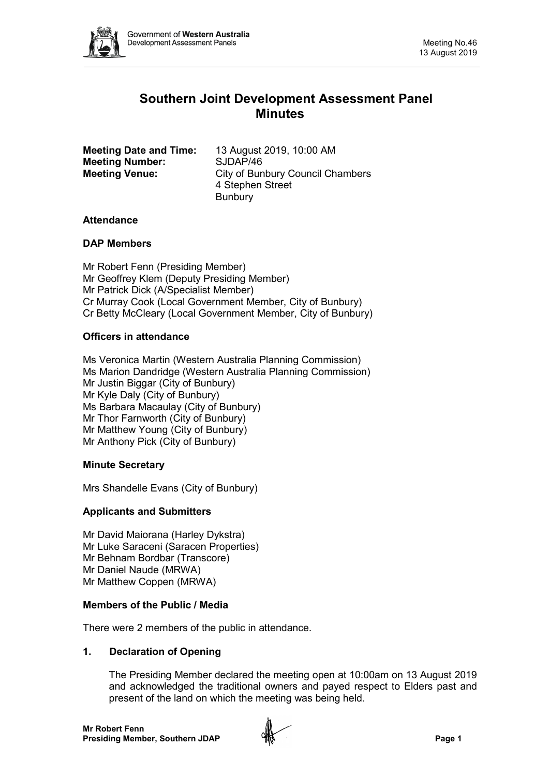

# **Southern Joint Development Assessment Panel Minutes**

| <b>Meeting Date and Time:</b> | 13 August 2019, 10:00 AM                |
|-------------------------------|-----------------------------------------|
| <b>Meeting Number:</b>        | SJDAP/46                                |
| <b>Meeting Venue:</b>         | <b>City of Bunbury Council Chambers</b> |
|                               | 4 Stephen Street                        |
|                               | <b>Bunbury</b>                          |

## **Attendance**

#### **DAP Members**

Mr Robert Fenn (Presiding Member) Mr Geoffrey Klem (Deputy Presiding Member) Mr Patrick Dick (A/Specialist Member) Cr Murray Cook (Local Government Member, City of Bunbury) Cr Betty McCleary (Local Government Member, City of Bunbury)

#### **Officers in attendance**

Ms Veronica Martin (Western Australia Planning Commission) Ms Marion Dandridge (Western Australia Planning Commission) Mr Justin Biggar (City of Bunbury) Mr Kyle Daly (City of Bunbury) Ms Barbara Macaulay (City of Bunbury) Mr Thor Farnworth (City of Bunbury) Mr Matthew Young (City of Bunbury) Mr Anthony Pick (City of Bunbury)

## **Minute Secretary**

Mrs Shandelle Evans (City of Bunbury)

## **Applicants and Submitters**

Mr David Maiorana (Harley Dykstra) Mr Luke Saraceni (Saracen Properties) Mr Behnam Bordbar (Transcore) Mr Daniel Naude (MRWA) Mr Matthew Coppen (MRWA)

## **Members of the Public / Media**

There were 2 members of the public in attendance.

#### **1. Declaration of Opening**

The Presiding Member declared the meeting open at 10:00am on 13 August 2019 and acknowledged the traditional owners and payed respect to Elders past and present of the land on which the meeting was being held.

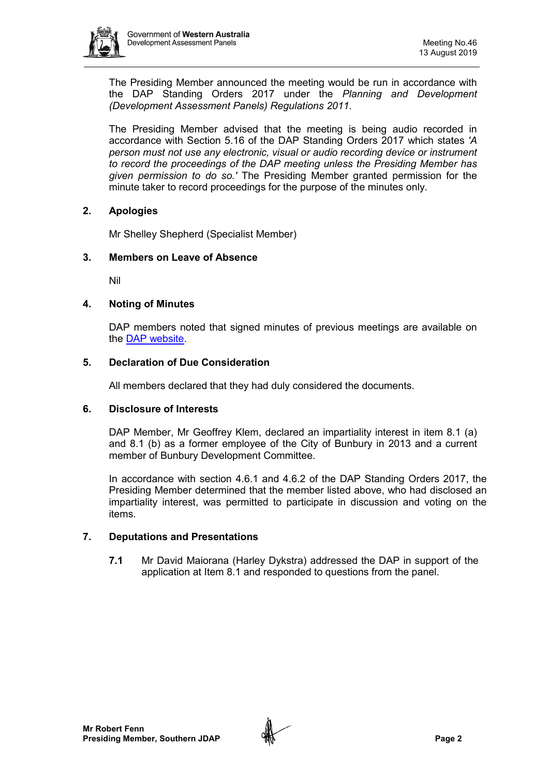

The Presiding Member announced the meeting would be run in accordance with the DAP Standing Orders 2017 under the *Planning and Development (Development Assessment Panels) Regulations 2011*.

The Presiding Member advised that the meeting is being audio recorded in accordance with Section 5.16 of the DAP Standing Orders 2017 which states *'A person must not use any electronic, visual or audio recording device or instrument to record the proceedings of the DAP meeting unless the Presiding Member has given permission to do so.'* The Presiding Member granted permission for the minute taker to record proceedings for the purpose of the minutes only.

## **2. Apologies**

Mr Shelley Shepherd (Specialist Member)

## **3. Members on Leave of Absence**

Nil

#### **4. Noting of Minutes**

DAP members noted that signed minutes of previous meetings are available on the [DAP website.](https://www.dplh.wa.gov.au/about/development-assessment-panels/daps-agendas-and-minutes)

#### **5. Declaration of Due Consideration**

All members declared that they had duly considered the documents.

#### **6. Disclosure of Interests**

DAP Member, Mr Geoffrey Klem, declared an impartiality interest in item 8.1 (a) and 8.1 (b) as a former employee of the City of Bunbury in 2013 and a current member of Bunbury Development Committee.

In accordance with section 4.6.1 and 4.6.2 of the DAP Standing Orders 2017, the Presiding Member determined that the member listed above, who had disclosed an impartiality interest, was permitted to participate in discussion and voting on the items.

#### **7. Deputations and Presentations**

**7.1** Mr David Maiorana (Harley Dykstra) addressed the DAP in support of the application at Item 8.1 and responded to questions from the panel.

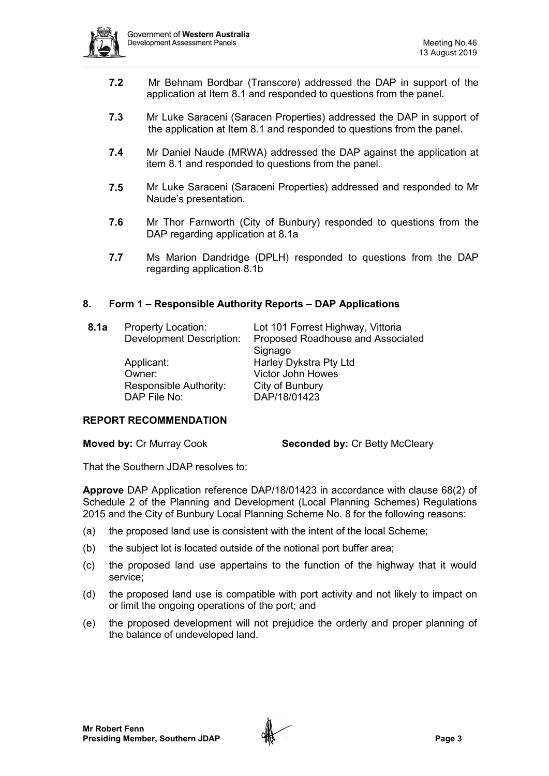

- **7.2** Mr Behnam Bordbar (Transcore) addressed the DAP in support of the application at Item 8.1 and responded to questions from the panel.
- **7.3** Mr Luke Saraceni (Saracen Properties) addressed the DAP in support of the application at Item 8.1 and responded to questions from the panel.
- **7.4** Mr Daniel Naude (MRWA) addressed the DAP against the application at item 8.1 and responded to questions from the panel.
- **7.5** Mr Luke Saraceni (Saraceni Properties) addressed and responded to Mr Naude's presentation.
- **7.6** Mr Thor Farnworth (City of Bunbury) responded to questions from the DAP regarding application at 8.1a
- **7.7** Ms Marion Dandridge (DPLH) responded to questions from the DAP regarding application 8.1b

#### **8. Form 1 – Responsible Authority Reports – DAP Applications**

| 8.1a | <b>Property Location:</b>       | Lot 101 Forrest Highway, Vittoria |  |
|------|---------------------------------|-----------------------------------|--|
|      | <b>Development Description:</b> | Proposed Roadhouse and Associated |  |
|      |                                 | Signage                           |  |
|      | Applicant:                      | Harley Dykstra Pty Ltd            |  |
|      | Owner:                          | <b>Victor John Howes</b>          |  |
|      | Responsible Authority:          | City of Bunbury                   |  |
|      | DAP File No:                    | DAP/18/01423                      |  |

# **REPORT RECOMMENDATION**

**Moved by: Cr Murray Cook <b>Seconded by: Cr Betty McCleary** 

That the Southern JDAP resolves to:

**Approve** DAP Application reference DAP/18/01423 in accordance with clause 68(2) of Schedule 2 of the Planning and Development (Local Planning Schemes) Regulations 2015 and the City of Bunbury Local Planning Scheme No. 8 for the following reasons:

- (a) the proposed land use is consistent with the intent of the local Scheme;
- (b) the subject lot is located outside of the notional port buffer area;
- (c) the proposed land use appertains to the function of the highway that it would service;
- (d) the proposed land use is compatible with port activity and not likely to impact on or limit the ongoing operations of the port; and
- (e) the proposed development will not prejudice the orderly and proper planning of the balance of undeveloped land.

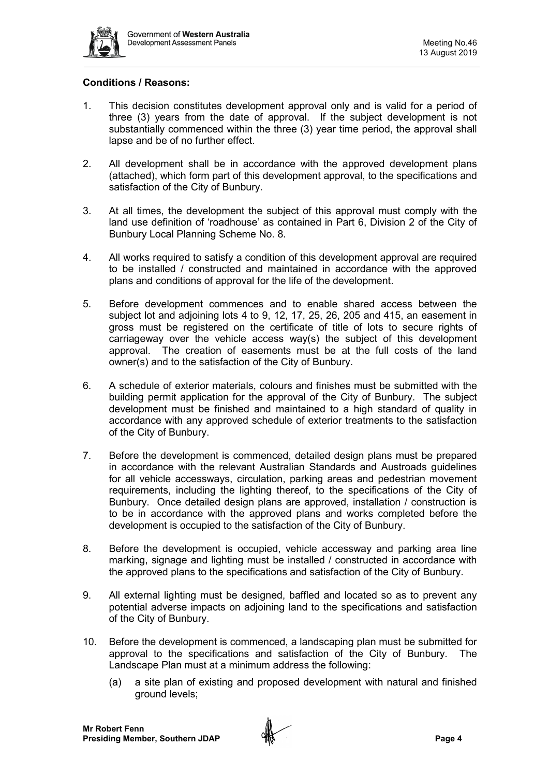

## **Conditions / Reasons:**

- 1. This decision constitutes development approval only and is valid for a period of three (3) years from the date of approval. If the subject development is not substantially commenced within the three (3) year time period, the approval shall lapse and be of no further effect.
- 2. All development shall be in accordance with the approved development plans (attached), which form part of this development approval, to the specifications and satisfaction of the City of Bunbury.
- 3. At all times, the development the subject of this approval must comply with the land use definition of 'roadhouse' as contained in Part 6, Division 2 of the City of Bunbury Local Planning Scheme No. 8.
- 4. All works required to satisfy a condition of this development approval are required to be installed / constructed and maintained in accordance with the approved plans and conditions of approval for the life of the development.
- 5. Before development commences and to enable shared access between the subject lot and adjoining lots 4 to 9, 12, 17, 25, 26, 205 and 415, an easement in gross must be registered on the certificate of title of lots to secure rights of carriageway over the vehicle access way(s) the subject of this development approval. The creation of easements must be at the full costs of the land owner(s) and to the satisfaction of the City of Bunbury.
- 6. A schedule of exterior materials, colours and finishes must be submitted with the building permit application for the approval of the City of Bunbury. The subject development must be finished and maintained to a high standard of quality in accordance with any approved schedule of exterior treatments to the satisfaction of the City of Bunbury.
- 7. Before the development is commenced, detailed design plans must be prepared in accordance with the relevant Australian Standards and Austroads guidelines for all vehicle accessways, circulation, parking areas and pedestrian movement requirements, including the lighting thereof, to the specifications of the City of Bunbury. Once detailed design plans are approved, installation / construction is to be in accordance with the approved plans and works completed before the development is occupied to the satisfaction of the City of Bunbury.
- 8. Before the development is occupied, vehicle accessway and parking area line marking, signage and lighting must be installed / constructed in accordance with the approved plans to the specifications and satisfaction of the City of Bunbury.
- 9. All external lighting must be designed, baffled and located so as to prevent any potential adverse impacts on adjoining land to the specifications and satisfaction of the City of Bunbury.
- 10. Before the development is commenced, a landscaping plan must be submitted for approval to the specifications and satisfaction of the City of Bunbury. The Landscape Plan must at a minimum address the following:
	- (a) a site plan of existing and proposed development with natural and finished ground levels;

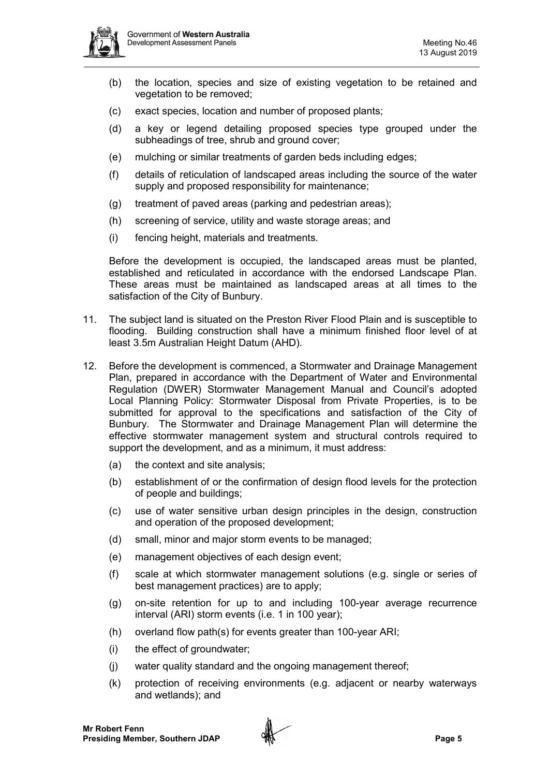

- (b) the location, species and size of existing vegetation to be retained and vegetation to be removed;
- (c) exact species, location and number of proposed plants;
- (d) a key or legend detailing proposed species type grouped under the subheadings of tree, shrub and ground cover;
- (e) mulching or similar treatments of garden beds including edges;
- (f) details of reticulation of landscaped areas including the source of the water supply and proposed responsibility for maintenance;
- (g) treatment of paved areas (parking and pedestrian areas);
- (h) screening of service, utility and waste storage areas; and
- (i) fencing height, materials and treatments.

Before the development is occupied, the landscaped areas must be planted, established and reticulated in accordance with the endorsed Landscape Plan. These areas must be maintained as landscaped areas at all times to the satisfaction of the City of Bunbury.

- 11. The subject land is situated on the Preston River Flood Plain and is susceptible to flooding. Building construction shall have a minimum finished floor level of at least 3.5m Australian Height Datum (AHD).
- 12. Before the development is commenced, a Stormwater and Drainage Management Plan, prepared in accordance with the Department of Water and Environmental Regulation (DWER) Stormwater Management Manual and Council's adopted Local Planning Policy: Stormwater Disposal from Private Properties, is to be submitted for approval to the specifications and satisfaction of the City of Bunbury. The Stormwater and Drainage Management Plan will determine the effective stormwater management system and structural controls required to support the development, and as a minimum, it must address:
	- (a) the context and site analysis;
	- (b) establishment of or the confirmation of design flood levels for the protection of people and buildings;
	- (c) use of water sensitive urban design principles in the design, construction and operation of the proposed development;
	- (d) small, minor and major storm events to be managed;
	- (e) management objectives of each design event;
	- (f) scale at which stormwater management solutions (e.g. single or series of best management practices) are to apply;
	- (g) on-site retention for up to and including 100-year average recurrence interval (ARI) storm events (i.e. 1 in 100 year);
	- (h) overland flow path(s) for events greater than 100-year ARI;
	- (i) the effect of groundwater;
	- (j) water quality standard and the ongoing management thereof;
	- (k) protection of receiving environments (e.g. adjacent or nearby waterways and wetlands); and

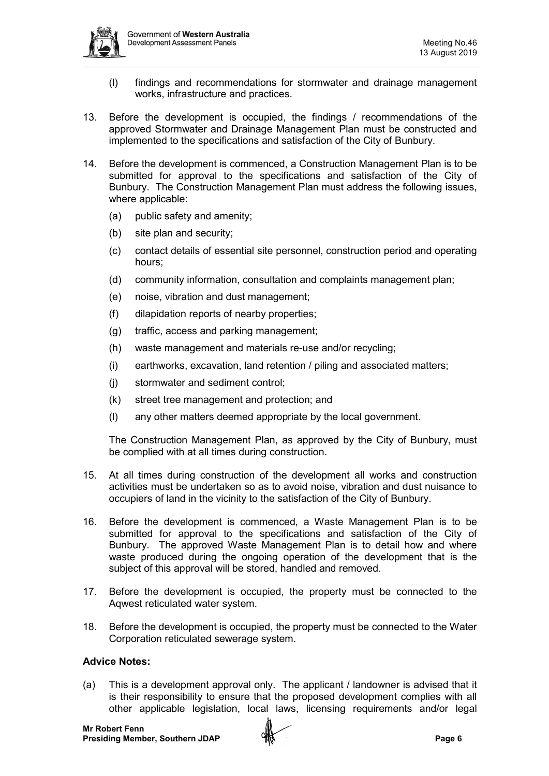

- (l) findings and recommendations for stormwater and drainage management works, infrastructure and practices.
- 13. Before the development is occupied, the findings / recommendations of the approved Stormwater and Drainage Management Plan must be constructed and implemented to the specifications and satisfaction of the City of Bunbury.
- 14. Before the development is commenced, a Construction Management Plan is to be submitted for approval to the specifications and satisfaction of the City of Bunbury. The Construction Management Plan must address the following issues, where applicable:
	- (a) public safety and amenity;
	- (b) site plan and security;
	- (c) contact details of essential site personnel, construction period and operating hours;
	- (d) community information, consultation and complaints management plan;
	- (e) noise, vibration and dust management;
	- (f) dilapidation reports of nearby properties;
	- (g) traffic, access and parking management;
	- (h) waste management and materials re-use and/or recycling;
	- (i) earthworks, excavation, land retention / piling and associated matters;
	- (j) stormwater and sediment control;
	- (k) street tree management and protection; and
	- (l) any other matters deemed appropriate by the local government.

The Construction Management Plan, as approved by the City of Bunbury, must be complied with at all times during construction.

- 15. At all times during construction of the development all works and construction activities must be undertaken so as to avoid noise, vibration and dust nuisance to occupiers of land in the vicinity to the satisfaction of the City of Bunbury.
- 16. Before the development is commenced, a Waste Management Plan is to be submitted for approval to the specifications and satisfaction of the City of Bunbury. The approved Waste Management Plan is to detail how and where waste produced during the ongoing operation of the development that is the subject of this approval will be stored, handled and removed.
- 17. Before the development is occupied, the property must be connected to the Aqwest reticulated water system.
- 18. Before the development is occupied, the property must be connected to the Water Corporation reticulated sewerage system.

#### **Advice Notes:**

(a) This is a development approval only. The applicant / landowner is advised that it is their responsibility to ensure that the proposed development complies with all other applicable legislation, local laws, licensing requirements and/or legal

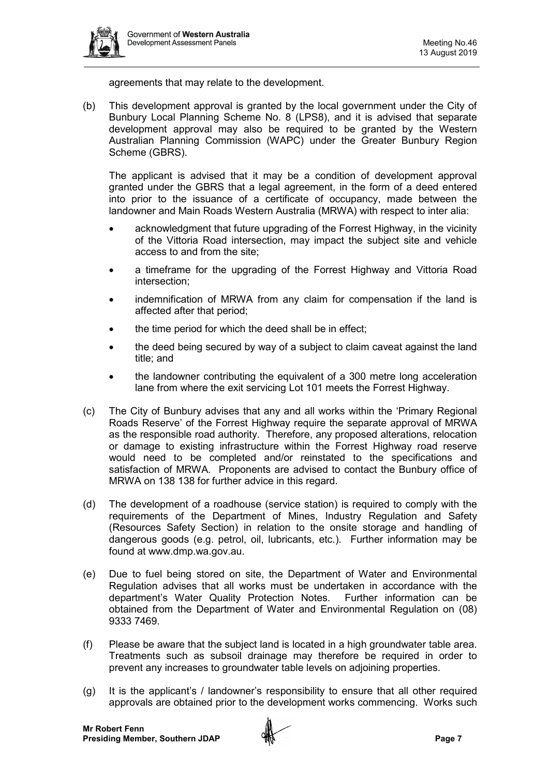

agreements that may relate to the development.

(b) This development approval is granted by the local government under the City of Bunbury Local Planning Scheme No. 8 (LPS8), and it is advised that separate development approval may also be required to be granted by the Western Australian Planning Commission (WAPC) under the Greater Bunbury Region Scheme (GBRS).

The applicant is advised that it may be a condition of development approval granted under the GBRS that a legal agreement, in the form of a deed entered into prior to the issuance of a certificate of occupancy, made between the landowner and Main Roads Western Australia (MRWA) with respect to inter alia:

- acknowledgment that future upgrading of the Forrest Highway, in the vicinity of the Vittoria Road intersection, may impact the subject site and vehicle access to and from the site;
- a timeframe for the upgrading of the Forrest Highway and Vittoria Road intersection;
- indemnification of MRWA from any claim for compensation if the land is affected after that period;
- the time period for which the deed shall be in effect;
- the deed being secured by way of a subject to claim caveat against the land title; and
- the landowner contributing the equivalent of a 300 metre long acceleration lane from where the exit servicing Lot 101 meets the Forrest Highway.
- (c) The City of Bunbury advises that any and all works within the 'Primary Regional Roads Reserve' of the Forrest Highway require the separate approval of MRWA as the responsible road authority. Therefore, any proposed alterations, relocation or damage to existing infrastructure within the Forrest Highway road reserve would need to be completed and/or reinstated to the specifications and satisfaction of MRWA. Proponents are advised to contact the Bunbury office of MRWA on 138 138 for further advice in this regard.
- (d) The development of a roadhouse (service station) is required to comply with the requirements of the Department of Mines, Industry Regulation and Safety (Resources Safety Section) in relation to the onsite storage and handling of dangerous goods (e.g. petrol, oil, lubricants, etc.). Further information may be found at www.dmp.wa.gov.au.
- (e) Due to fuel being stored on site, the Department of Water and Environmental Regulation advises that all works must be undertaken in accordance with the department's Water Quality Protection Notes. Further information can be obtained from the Department of Water and Environmental Regulation on (08) 9333 7469.
- (f) Please be aware that the subject land is located in a high groundwater table area. Treatments such as subsoil drainage may therefore be required in order to prevent any increases to groundwater table levels on adjoining properties.
- (g) It is the applicant's / landowner's responsibility to ensure that all other required approvals are obtained prior to the development works commencing. Works such

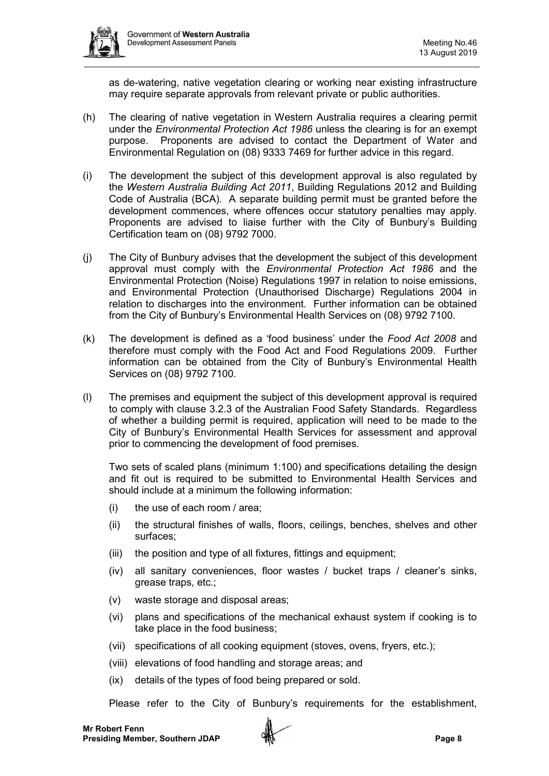

as de-watering, native vegetation clearing or working near existing infrastructure may require separate approvals from relevant private or public authorities.

- (h) The clearing of native vegetation in Western Australia requires a clearing permit under the *Environmental Protection Act 1986* unless the clearing is for an exempt purpose. Proponents are advised to contact the Department of Water and Environmental Regulation on (08) 9333 7469 for further advice in this regard.
- (i) The development the subject of this development approval is also regulated by the *Western Australia Building Act 2011*, Building Regulations 2012 and Building Code of Australia (BCA). A separate building permit must be granted before the development commences, where offences occur statutory penalties may apply. Proponents are advised to liaise further with the City of Bunbury's Building Certification team on (08) 9792 7000.
- (j) The City of Bunbury advises that the development the subject of this development approval must comply with the *Environmental Protection Act 1986* and the Environmental Protection (Noise) Regulations 1997 in relation to noise emissions, and Environmental Protection (Unauthorised Discharge) Regulations 2004 in relation to discharges into the environment. Further information can be obtained from the City of Bunbury's Environmental Health Services on (08) 9792 7100.
- (k) The development is defined as a 'food business' under the *Food Act 2008* and therefore must comply with the Food Act and Food Regulations 2009. Further information can be obtained from the City of Bunbury's Environmental Health Services on (08) 9792 7100.
- (l) The premises and equipment the subject of this development approval is required to comply with clause 3.2.3 of the Australian Food Safety Standards. Regardless of whether a building permit is required, application will need to be made to the City of Bunbury's Environmental Health Services for assessment and approval prior to commencing the development of food premises.

Two sets of scaled plans (minimum 1:100) and specifications detailing the design and fit out is required to be submitted to Environmental Health Services and should include at a minimum the following information:

- (i) the use of each room / area;
- (ii) the structural finishes of walls, floors, ceilings, benches, shelves and other surfaces;
- (iii) the position and type of all fixtures, fittings and equipment;
- (iv) all sanitary conveniences, floor wastes / bucket traps / cleaner's sinks, grease traps, etc.;
- (v) waste storage and disposal areas;
- (vi) plans and specifications of the mechanical exhaust system if cooking is to take place in the food business;
- (vii) specifications of all cooking equipment (stoves, ovens, fryers, etc.);
- (viii) elevations of food handling and storage areas; and
- (ix) details of the types of food being prepared or sold.

Please refer to the City of Bunbury's requirements for the establishment,

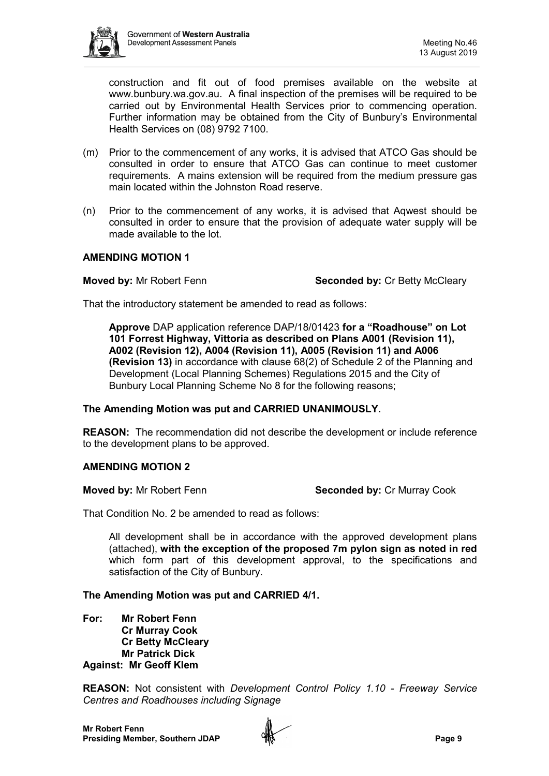

construction and fit out of food premises available on the website at [www.bunbury.wa.gov.au.](http://www.bunbury.wa.gov.au/) A final inspection of the premises will be required to be carried out by Environmental Health Services prior to commencing operation. Further information may be obtained from the City of Bunbury's Environmental Health Services on (08) 9792 7100.

- (m) Prior to the commencement of any works, it is advised that ATCO Gas should be consulted in order to ensure that ATCO Gas can continue to meet customer requirements. A mains extension will be required from the medium pressure gas main located within the Johnston Road reserve.
- (n) Prior to the commencement of any works, it is advised that Aqwest should be consulted in order to ensure that the provision of adequate water supply will be made available to the lot.

#### **AMENDING MOTION 1**

**Moved by:** Mr Robert Fenn **Seconded by:** Cr Betty McCleary

That the introductory statement be amended to read as follows:

**Approve** DAP application reference DAP/18/01423 **for a "Roadhouse" on Lot 101 Forrest Highway, Vittoria as described on Plans A001 (Revision 11), A002 (Revision 12), A004 (Revision 11), A005 (Revision 11) and A006 (Revision 13)** in accordance with clause 68(2) of Schedule 2 of the Planning and Development (Local Planning Schemes) Regulations 2015 and the City of Bunbury Local Planning Scheme No 8 for the following reasons;

#### **The Amending Motion was put and CARRIED UNANIMOUSLY.**

**REASON:** The recommendation did not describe the development or include reference to the development plans to be approved.

## **AMENDING MOTION 2**

**Moved by:** Mr Robert Fenn **Seconded by: Cr Murray Cook** 

That Condition No. 2 be amended to read as follows:

All development shall be in accordance with the approved development plans (attached), **with the exception of the proposed 7m pylon sign as noted in red** which form part of this development approval, to the specifications and satisfaction of the City of Bunbury.

## **The Amending Motion was put and CARRIED 4/1.**

**For: Mr Robert Fenn Cr Murray Cook Cr Betty McCleary Mr Patrick Dick Against: Mr Geoff Klem**

**REASON:** Not consistent with *Development Control Policy 1.10 - Freeway Service Centres and Roadhouses including Signage*

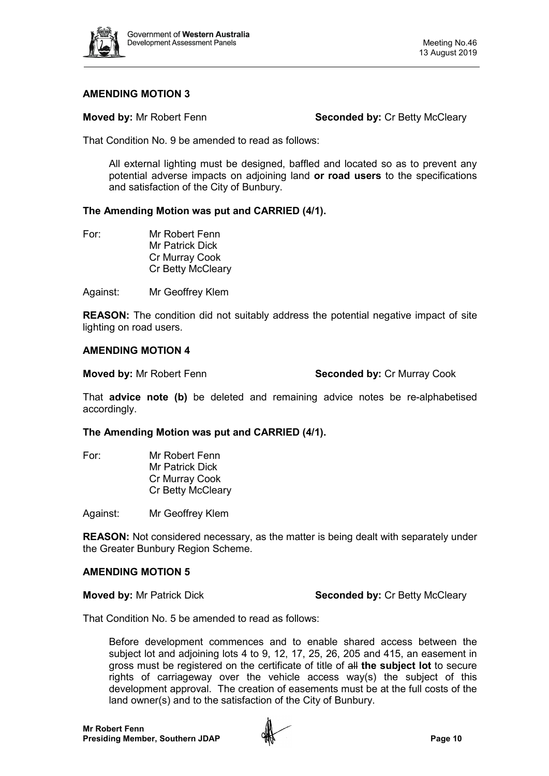

#### **AMENDING MOTION 3**

**Moved by:** Mr Robert Fenn **Seconded by:** Cr Betty McCleary

That Condition No. 9 be amended to read as follows:

All external lighting must be designed, baffled and located so as to prevent any potential adverse impacts on adjoining land **or road users** to the specifications and satisfaction of the City of Bunbury.

#### **The Amending Motion was put and CARRIED (4/1).**

For: Mr Robert Fenn Mr Patrick Dick Cr Murray Cook Cr Betty McCleary

Against: Mr Geoffrey Klem

**REASON:** The condition did not suitably address the potential negative impact of site lighting on road users.

#### **AMENDING MOTION 4**

**Moved by: Mr Robert Fenn <b>Seconded by:** Cr Murray Cook

That **advice note (b)** be deleted and remaining advice notes be re-alphabetised accordingly.

## **The Amending Motion was put and CARRIED (4/1).**

For: Mr Robert Fenn Mr Patrick Dick Cr Murray Cook Cr Betty McCleary

Against: Mr Geoffrey Klem

**REASON:** Not considered necessary, as the matter is being dealt with separately under the Greater Bunbury Region Scheme.

#### **AMENDING MOTION 5**

**Moved by: Mr Patrick Dick <b>Seconded by: Cr Betty McCleary Moved by: Cr Betty McCleary** 

That Condition No. 5 be amended to read as follows:

Before development commences and to enable shared access between the subject lot and adjoining lots 4 to 9, 12, 17, 25, 26, 205 and 415, an easement in gross must be registered on the certificate of title of all **the subject lot** to secure rights of carriageway over the vehicle access way(s) the subject of this development approval. The creation of easements must be at the full costs of the land owner(s) and to the satisfaction of the City of Bunbury.

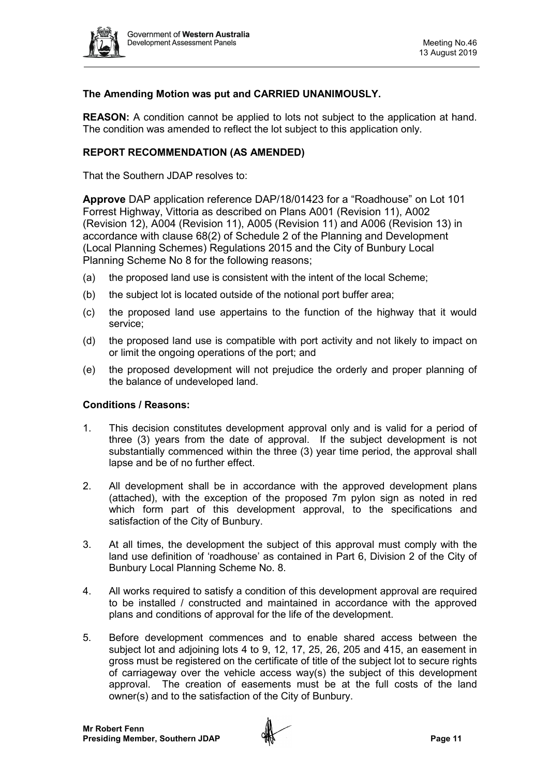

## **The Amending Motion was put and CARRIED UNANIMOUSLY.**

**REASON:** A condition cannot be applied to lots not subject to the application at hand. The condition was amended to reflect the lot subject to this application only.

## **REPORT RECOMMENDATION (AS AMENDED)**

That the Southern JDAP resolves to:

**Approve** DAP application reference DAP/18/01423 for a "Roadhouse" on Lot 101 Forrest Highway, Vittoria as described on Plans A001 (Revision 11), A002 (Revision 12), A004 (Revision 11), A005 (Revision 11) and A006 (Revision 13) in accordance with clause 68(2) of Schedule 2 of the Planning and Development (Local Planning Schemes) Regulations 2015 and the City of Bunbury Local Planning Scheme No 8 for the following reasons;

- (a) the proposed land use is consistent with the intent of the local Scheme;
- (b) the subject lot is located outside of the notional port buffer area;
- (c) the proposed land use appertains to the function of the highway that it would service;
- (d) the proposed land use is compatible with port activity and not likely to impact on or limit the ongoing operations of the port; and
- (e) the proposed development will not prejudice the orderly and proper planning of the balance of undeveloped land.

#### **Conditions / Reasons:**

- 1. This decision constitutes development approval only and is valid for a period of three (3) years from the date of approval. If the subject development is not substantially commenced within the three (3) year time period, the approval shall lapse and be of no further effect.
- 2. All development shall be in accordance with the approved development plans (attached), with the exception of the proposed 7m pylon sign as noted in red which form part of this development approval, to the specifications and satisfaction of the City of Bunbury.
- 3. At all times, the development the subject of this approval must comply with the land use definition of 'roadhouse' as contained in Part 6, Division 2 of the City of Bunbury Local Planning Scheme No. 8.
- 4. All works required to satisfy a condition of this development approval are required to be installed / constructed and maintained in accordance with the approved plans and conditions of approval for the life of the development.
- 5. Before development commences and to enable shared access between the subject lot and adjoining lots 4 to 9, 12, 17, 25, 26, 205 and 415, an easement in gross must be registered on the certificate of title of the subject lot to secure rights of carriageway over the vehicle access way(s) the subject of this development approval. The creation of easements must be at the full costs of the land owner(s) and to the satisfaction of the City of Bunbury.

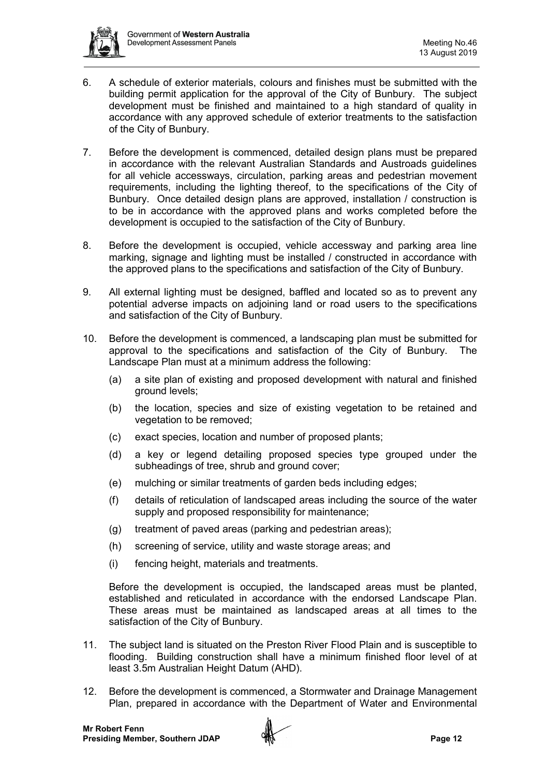

- 6. A schedule of exterior materials, colours and finishes must be submitted with the building permit application for the approval of the City of Bunbury. The subject development must be finished and maintained to a high standard of quality in accordance with any approved schedule of exterior treatments to the satisfaction of the City of Bunbury.
- 7. Before the development is commenced, detailed design plans must be prepared in accordance with the relevant Australian Standards and Austroads guidelines for all vehicle accessways, circulation, parking areas and pedestrian movement requirements, including the lighting thereof, to the specifications of the City of Bunbury. Once detailed design plans are approved, installation / construction is to be in accordance with the approved plans and works completed before the development is occupied to the satisfaction of the City of Bunbury.
- 8. Before the development is occupied, vehicle accessway and parking area line marking, signage and lighting must be installed / constructed in accordance with the approved plans to the specifications and satisfaction of the City of Bunbury.
- 9. All external lighting must be designed, baffled and located so as to prevent any potential adverse impacts on adjoining land or road users to the specifications and satisfaction of the City of Bunbury.
- 10. Before the development is commenced, a landscaping plan must be submitted for<br>approval to the specifications and satisfaction of the City of Bunbury. The approval to the specifications and satisfaction of the City of Bunbury. Landscape Plan must at a minimum address the following:
	- (a) a site plan of existing and proposed development with natural and finished ground levels;
	- (b) the location, species and size of existing vegetation to be retained and vegetation to be removed;
	- (c) exact species, location and number of proposed plants;
	- (d) a key or legend detailing proposed species type grouped under the subheadings of tree, shrub and ground cover;
	- (e) mulching or similar treatments of garden beds including edges;
	- (f) details of reticulation of landscaped areas including the source of the water supply and proposed responsibility for maintenance;
	- (g) treatment of paved areas (parking and pedestrian areas);
	- (h) screening of service, utility and waste storage areas; and
	- (i) fencing height, materials and treatments.

Before the development is occupied, the landscaped areas must be planted, established and reticulated in accordance with the endorsed Landscape Plan. These areas must be maintained as landscaped areas at all times to the satisfaction of the City of Bunbury.

- 11. The subject land is situated on the Preston River Flood Plain and is susceptible to flooding. Building construction shall have a minimum finished floor level of at least 3.5m Australian Height Datum (AHD).
- 12. Before the development is commenced, a Stormwater and Drainage Management Plan, prepared in accordance with the Department of Water and Environmental

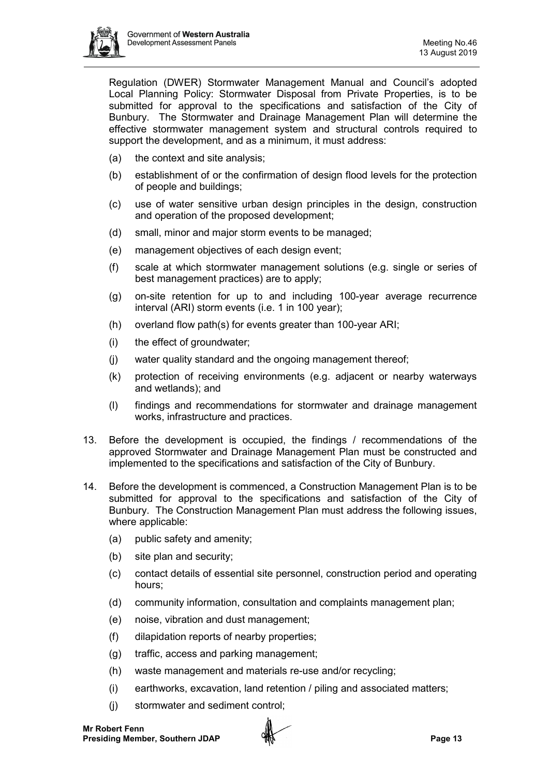

Regulation (DWER) Stormwater Management Manual and Council's adopted Local Planning Policy: Stormwater Disposal from Private Properties, is to be submitted for approval to the specifications and satisfaction of the City of Bunbury. The Stormwater and Drainage Management Plan will determine the effective stormwater management system and structural controls required to support the development, and as a minimum, it must address:

- (a) the context and site analysis;
- (b) establishment of or the confirmation of design flood levels for the protection of people and buildings;
- (c) use of water sensitive urban design principles in the design, construction and operation of the proposed development;
- (d) small, minor and major storm events to be managed;
- (e) management objectives of each design event;
- (f) scale at which stormwater management solutions (e.g. single or series of best management practices) are to apply;
- (g) on-site retention for up to and including 100-year average recurrence interval (ARI) storm events (i.e. 1 in 100 year);
- (h) overland flow path(s) for events greater than 100-year ARI;
- (i) the effect of groundwater;
- (j) water quality standard and the ongoing management thereof;
- (k) protection of receiving environments (e.g. adjacent or nearby waterways and wetlands); and
- (l) findings and recommendations for stormwater and drainage management works, infrastructure and practices.
- 13. Before the development is occupied, the findings / recommendations of the approved Stormwater and Drainage Management Plan must be constructed and implemented to the specifications and satisfaction of the City of Bunbury.
- 14. Before the development is commenced, a Construction Management Plan is to be submitted for approval to the specifications and satisfaction of the City of Bunbury. The Construction Management Plan must address the following issues, where applicable:
	- (a) public safety and amenity;
	- (b) site plan and security;
	- (c) contact details of essential site personnel, construction period and operating hours;
	- (d) community information, consultation and complaints management plan;
	- (e) noise, vibration and dust management;
	- (f) dilapidation reports of nearby properties;
	- (g) traffic, access and parking management;
	- (h) waste management and materials re-use and/or recycling;
	- (i) earthworks, excavation, land retention / piling and associated matters;
	- (j) stormwater and sediment control;

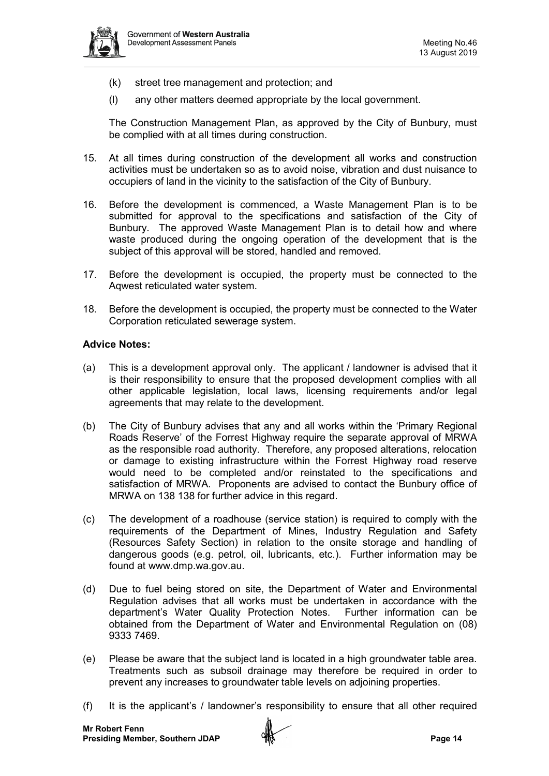

- (k) street tree management and protection; and
- (l) any other matters deemed appropriate by the local government.

The Construction Management Plan, as approved by the City of Bunbury, must be complied with at all times during construction.

- 15. At all times during construction of the development all works and construction activities must be undertaken so as to avoid noise, vibration and dust nuisance to occupiers of land in the vicinity to the satisfaction of the City of Bunbury.
- 16. Before the development is commenced, a Waste Management Plan is to be submitted for approval to the specifications and satisfaction of the City of Bunbury. The approved Waste Management Plan is to detail how and where waste produced during the ongoing operation of the development that is the subject of this approval will be stored, handled and removed.
- 17. Before the development is occupied, the property must be connected to the Aqwest reticulated water system.
- 18. Before the development is occupied, the property must be connected to the Water Corporation reticulated sewerage system.

#### **Advice Notes:**

- (a) This is a development approval only. The applicant / landowner is advised that it is their responsibility to ensure that the proposed development complies with all other applicable legislation, local laws, licensing requirements and/or legal agreements that may relate to the development.
- (b) The City of Bunbury advises that any and all works within the 'Primary Regional Roads Reserve' of the Forrest Highway require the separate approval of MRWA as the responsible road authority. Therefore, any proposed alterations, relocation or damage to existing infrastructure within the Forrest Highway road reserve would need to be completed and/or reinstated to the specifications and satisfaction of MRWA. Proponents are advised to contact the Bunbury office of MRWA on 138 138 for further advice in this regard.
- (c) The development of a roadhouse (service station) is required to comply with the requirements of the Department of Mines, Industry Regulation and Safety (Resources Safety Section) in relation to the onsite storage and handling of dangerous goods (e.g. petrol, oil, lubricants, etc.). Further information may be found at www.dmp.wa.gov.au.
- (d) Due to fuel being stored on site, the Department of Water and Environmental Regulation advises that all works must be undertaken in accordance with the department's Water Quality Protection Notes. Further information can be obtained from the Department of Water and Environmental Regulation on (08) 9333 7469.
- (e) Please be aware that the subject land is located in a high groundwater table area. Treatments such as subsoil drainage may therefore be required in order to prevent any increases to groundwater table levels on adjoining properties.
- (f) It is the applicant's / landowner's responsibility to ensure that all other required

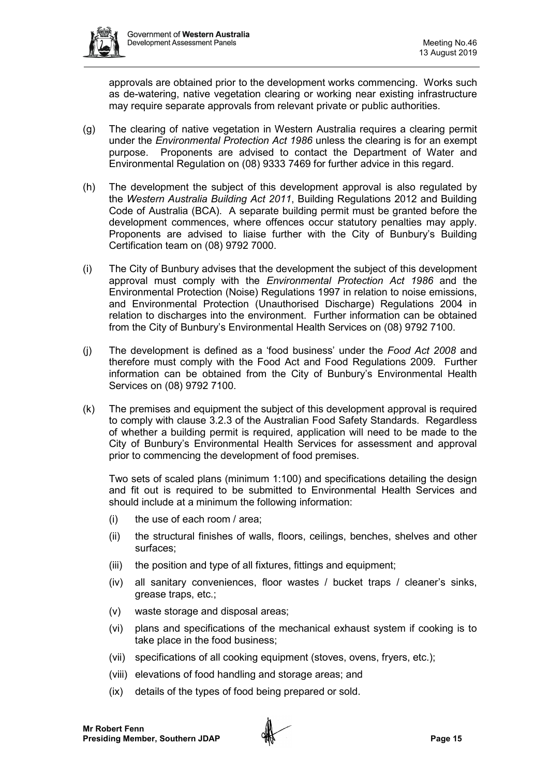

approvals are obtained prior to the development works commencing. Works such as de-watering, native vegetation clearing or working near existing infrastructure may require separate approvals from relevant private or public authorities.

- (g) The clearing of native vegetation in Western Australia requires a clearing permit under the *Environmental Protection Act 1986* unless the clearing is for an exempt purpose. Proponents are advised to contact the Department of Water and Environmental Regulation on (08) 9333 7469 for further advice in this regard.
- (h) The development the subject of this development approval is also regulated by the *Western Australia Building Act 2011*, Building Regulations 2012 and Building Code of Australia (BCA). A separate building permit must be granted before the development commences, where offences occur statutory penalties may apply. Proponents are advised to liaise further with the City of Bunbury's Building Certification team on (08) 9792 7000.
- (i) The City of Bunbury advises that the development the subject of this development approval must comply with the *Environmental Protection Act 1986* and the Environmental Protection (Noise) Regulations 1997 in relation to noise emissions, and Environmental Protection (Unauthorised Discharge) Regulations 2004 in relation to discharges into the environment. Further information can be obtained from the City of Bunbury's Environmental Health Services on (08) 9792 7100.
- (j) The development is defined as a 'food business' under the *Food Act 2008* and therefore must comply with the Food Act and Food Regulations 2009. Further information can be obtained from the City of Bunbury's Environmental Health Services on (08) 9792 7100.
- (k) The premises and equipment the subject of this development approval is required to comply with clause 3.2.3 of the Australian Food Safety Standards. Regardless of whether a building permit is required, application will need to be made to the City of Bunbury's Environmental Health Services for assessment and approval prior to commencing the development of food premises.

Two sets of scaled plans (minimum 1:100) and specifications detailing the design and fit out is required to be submitted to Environmental Health Services and should include at a minimum the following information:

- (i) the use of each room / area;
- (ii) the structural finishes of walls, floors, ceilings, benches, shelves and other surfaces;
- (iii) the position and type of all fixtures, fittings and equipment;
- (iv) all sanitary conveniences, floor wastes / bucket traps / cleaner's sinks, grease traps, etc.;
- (v) waste storage and disposal areas;
- (vi) plans and specifications of the mechanical exhaust system if cooking is to take place in the food business;
- (vii) specifications of all cooking equipment (stoves, ovens, fryers, etc.);
- (viii) elevations of food handling and storage areas; and
- (ix) details of the types of food being prepared or sold.

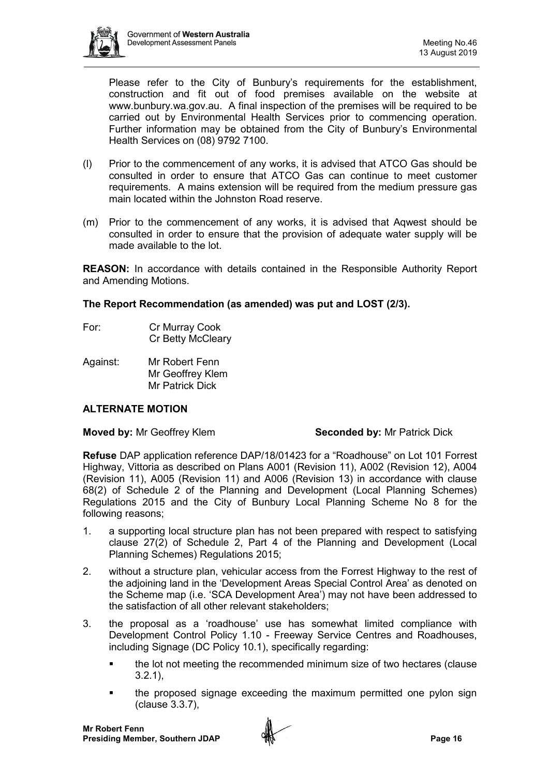

Please refer to the City of Bunbury's requirements for the establishment, construction and fit out of food premises available on the website at [www.bunbury.wa.gov.au.](http://www.bunbury.wa.gov.au/) A final inspection of the premises will be required to be carried out by Environmental Health Services prior to commencing operation. Further information may be obtained from the City of Bunbury's Environmental Health Services on (08) 9792 7100.

- (l) Prior to the commencement of any works, it is advised that ATCO Gas should be consulted in order to ensure that ATCO Gas can continue to meet customer requirements. A mains extension will be required from the medium pressure gas main located within the Johnston Road reserve.
- (m) Prior to the commencement of any works, it is advised that Aqwest should be consulted in order to ensure that the provision of adequate water supply will be made available to the lot.

**REASON:** In accordance with details contained in the Responsible Authority Report and Amending Motions.

**The Report Recommendation (as amended) was put and LOST (2/3).**

- For: Cr Murray Cook Cr Betty McCleary
- Against: Mr Robert Fenn Mr Geoffrey Klem Mr Patrick Dick

## **ALTERNATE MOTION**

#### **Moved by: Mr Geoffrey Klem <b>Seconded by:** Mr Patrick Dick

**Refuse** DAP application reference DAP/18/01423 for a "Roadhouse" on Lot 101 Forrest Highway, Vittoria as described on Plans A001 (Revision 11), A002 (Revision 12), A004 (Revision 11), A005 (Revision 11) and A006 (Revision 13) in accordance with clause 68(2) of Schedule 2 of the Planning and Development (Local Planning Schemes) Regulations 2015 and the City of Bunbury Local Planning Scheme No 8 for the following reasons;

- 1. a supporting local structure plan has not been prepared with respect to satisfying clause 27(2) of Schedule 2, Part 4 of the Planning and Development (Local Planning Schemes) Regulations 2015;
- 2. without a structure plan, vehicular access from the Forrest Highway to the rest of the adjoining land in the 'Development Areas Special Control Area' as denoted on the Scheme map (i.e. 'SCA Development Area') may not have been addressed to the satisfaction of all other relevant stakeholders;
- 3. the proposal as a 'roadhouse' use has somewhat limited compliance with Development Control Policy 1.10 - Freeway Service Centres and Roadhouses, including Signage (DC Policy 10.1), specifically regarding:
	- the lot not meeting the recommended minimum size of two hectares (clause 3.2.1),
	- the proposed signage exceeding the maximum permitted one pylon sign (clause 3.3.7),

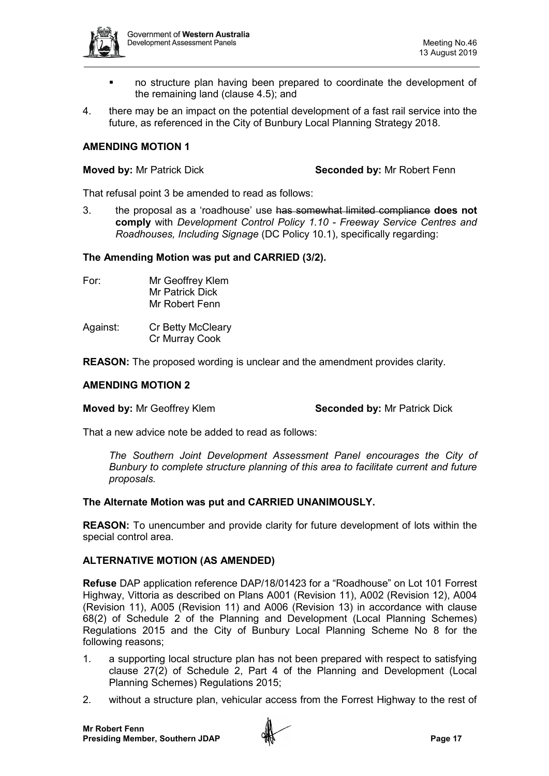

- no structure plan having been prepared to coordinate the development of the remaining land (clause 4.5); and
- 4. there may be an impact on the potential development of a fast rail service into the future, as referenced in the City of Bunbury Local Planning Strategy 2018.

#### **AMENDING MOTION 1**

**Moved by:** Mr Patrick Dick **Seconded by:** Mr Robert Fenn

That refusal point 3 be amended to read as follows:

3. the proposal as a 'roadhouse' use has somewhat limited compliance **does not comply** with *Development Control Policy 1.10 - Freeway Service Centres and Roadhouses, Including Signage* (DC Policy 10.1), specifically regarding:

## **The Amending Motion was put and CARRIED (3/2).**

- 
- For: Mr Geoffrey Klem Mr Patrick Dick Mr Robert Fenn
- Against: Cr Betty McCleary Cr Murray Cook

**REASON:** The proposed wording is unclear and the amendment provides clarity.

#### **AMENDING MOTION 2**

**Moved by:** Mr Geoffrey Klem **Seconded by:** Mr Patrick Dick

That a new advice note be added to read as follows:

*The Southern Joint Development Assessment Panel encourages the City of Bunbury to complete structure planning of this area to facilitate current and future proposals.* 

#### **The Alternate Motion was put and CARRIED UNANIMOUSLY.**

**REASON:** To unencumber and provide clarity for future development of lots within the special control area.

#### **ALTERNATIVE MOTION (AS AMENDED)**

**Refuse** DAP application reference DAP/18/01423 for a "Roadhouse" on Lot 101 Forrest Highway, Vittoria as described on Plans A001 (Revision 11), A002 (Revision 12), A004 (Revision 11), A005 (Revision 11) and A006 (Revision 13) in accordance with clause 68(2) of Schedule 2 of the Planning and Development (Local Planning Schemes) Regulations 2015 and the City of Bunbury Local Planning Scheme No 8 for the following reasons;

- 1. a supporting local structure plan has not been prepared with respect to satisfying clause 27(2) of Schedule 2, Part 4 of the Planning and Development (Local Planning Schemes) Regulations 2015;
- 2. without a structure plan, vehicular access from the Forrest Highway to the rest of

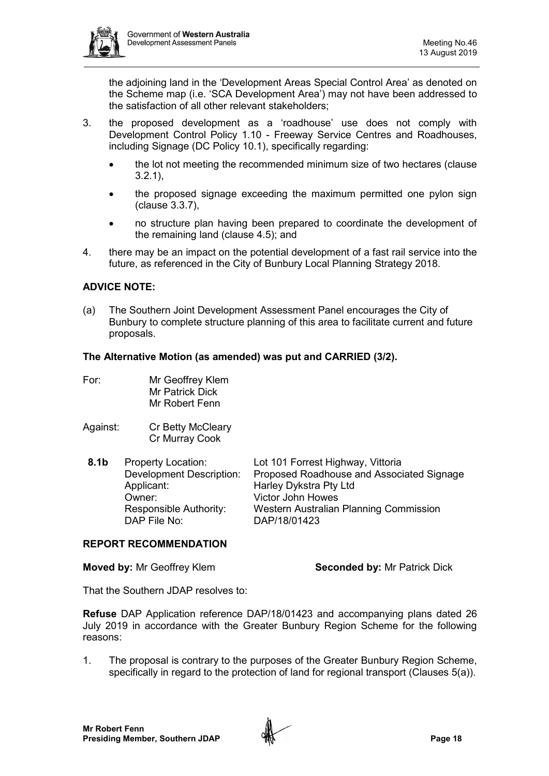

the adjoining land in the 'Development Areas Special Control Area' as denoted on the Scheme map (i.e. 'SCA Development Area') may not have been addressed to the satisfaction of all other relevant stakeholders;

- 3. the proposed development as a 'roadhouse' use does not comply with Development Control Policy 1.10 - Freeway Service Centres and Roadhouses, including Signage (DC Policy 10.1), specifically regarding:
	- the lot not meeting the recommended minimum size of two hectares (clause 3.2.1),
	- the proposed signage exceeding the maximum permitted one pylon sign (clause 3.3.7),
	- no structure plan having been prepared to coordinate the development of the remaining land (clause 4.5); and
- 4. there may be an impact on the potential development of a fast rail service into the future, as referenced in the City of Bunbury Local Planning Strategy 2018.

## **ADVICE NOTE:**

(a) The Southern Joint Development Assessment Panel encourages the City of Bunbury to complete structure planning of this area to facilitate current and future proposals.

## **The Alternative Motion (as amended) was put and CARRIED (3/2).**

- For: Mr Geoffrey Klem Mr Patrick Dick Mr Robert Fenn
- Against: Cr Betty McCleary Cr Murray Cook

| 8.1 <sub>b</sub> | <b>Property Location:</b><br><b>Development Description:</b><br>Applicant:<br>Owner:<br>Responsible Authority: | Lot 101 Forrest Highway, Vittoria<br>Proposed Roadhouse and Associated Signage<br>Harley Dykstra Pty Ltd<br><b>Victor John Howes</b><br>Western Australian Planning Commission |
|------------------|----------------------------------------------------------------------------------------------------------------|--------------------------------------------------------------------------------------------------------------------------------------------------------------------------------|
|                  | DAP File No:                                                                                                   | DAP/18/01423                                                                                                                                                                   |

#### **REPORT RECOMMENDATION**

**Moved by: Mr Geoffrey Klem <b>Seconded by:** Mr Patrick Dick

That the Southern JDAP resolves to:

**Refuse** DAP Application reference DAP/18/01423 and accompanying plans dated 26 July 2019 in accordance with the Greater Bunbury Region Scheme for the following reasons:

1. The proposal is contrary to the purposes of the Greater Bunbury Region Scheme, specifically in regard to the protection of land for regional transport (Clauses 5(a)).

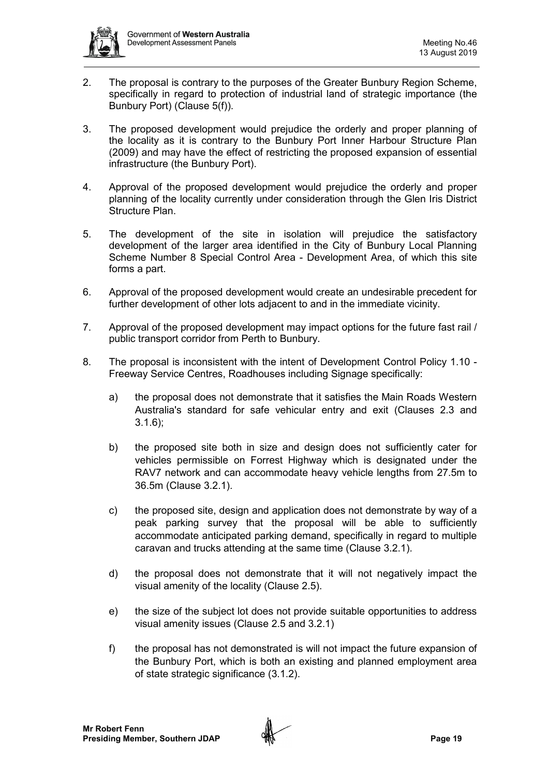

- 2. The proposal is contrary to the purposes of the Greater Bunbury Region Scheme, specifically in regard to protection of industrial land of strategic importance (the Bunbury Port) (Clause 5(f)).
- 3. The proposed development would prejudice the orderly and proper planning of the locality as it is contrary to the Bunbury Port Inner Harbour Structure Plan (2009) and may have the effect of restricting the proposed expansion of essential infrastructure (the Bunbury Port).
- 4. Approval of the proposed development would prejudice the orderly and proper planning of the locality currently under consideration through the Glen Iris District Structure Plan.
- 5. The development of the site in isolation will prejudice the satisfactory development of the larger area identified in the City of Bunbury Local Planning Scheme Number 8 Special Control Area - Development Area, of which this site forms a part.
- 6. Approval of the proposed development would create an undesirable precedent for further development of other lots adjacent to and in the immediate vicinity.
- 7. Approval of the proposed development may impact options for the future fast rail / public transport corridor from Perth to Bunbury.
- 8. The proposal is inconsistent with the intent of Development Control Policy 1.10 Freeway Service Centres, Roadhouses including Signage specifically:
	- a) the proposal does not demonstrate that it satisfies the Main Roads Western Australia's standard for safe vehicular entry and exit (Clauses 2.3 and  $3.1.6$ :
	- b) the proposed site both in size and design does not sufficiently cater for vehicles permissible on Forrest Highway which is designated under the RAV7 network and can accommodate heavy vehicle lengths from 27.5m to 36.5m (Clause 3.2.1).
	- c) the proposed site, design and application does not demonstrate by way of a peak parking survey that the proposal will be able to sufficiently accommodate anticipated parking demand, specifically in regard to multiple caravan and trucks attending at the same time (Clause 3.2.1).
	- d) the proposal does not demonstrate that it will not negatively impact the visual amenity of the locality (Clause 2.5).
	- e) the size of the subject lot does not provide suitable opportunities to address visual amenity issues (Clause 2.5 and 3.2.1)
	- f) the proposal has not demonstrated is will not impact the future expansion of the Bunbury Port, which is both an existing and planned employment area of state strategic significance (3.1.2).

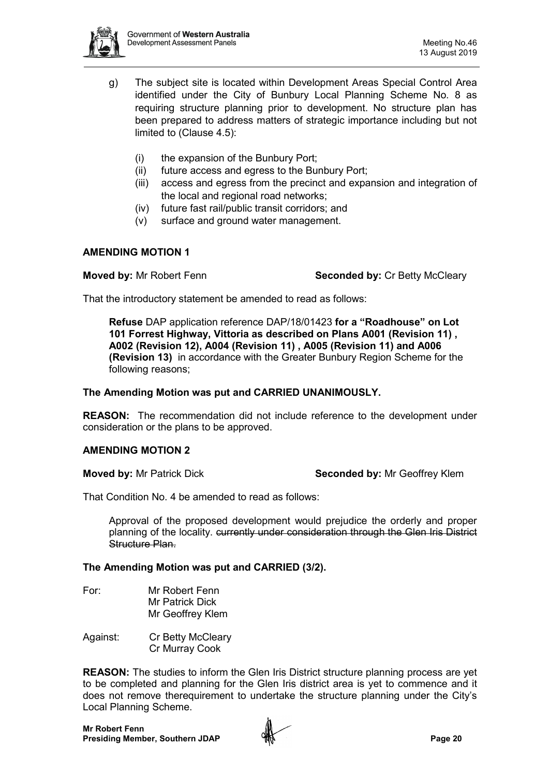

- g) The subject site is located within Development Areas Special Control Area identified under the City of Bunbury Local Planning Scheme No. 8 as requiring structure planning prior to development. No structure plan has been prepared to address matters of strategic importance including but not limited to (Clause 4.5):
	- (i) the expansion of the Bunbury Port;
	- (ii) future access and egress to the Bunbury Port;
	- (iii) access and egress from the precinct and expansion and integration of the local and regional road networks;
	- (iv) future fast rail/public transit corridors; and
	- (v) surface and ground water management.

## **AMENDING MOTION 1**

**Moved by:** Mr Robert Fenn **Seconded by: Cr Betty McCleary** 

That the introductory statement be amended to read as follows:

**Refuse** DAP application reference DAP/18/01423 **for a "Roadhouse" on Lot 101 Forrest Highway, Vittoria as described on Plans A001 (Revision 11) , A002 (Revision 12), A004 (Revision 11) , A005 (Revision 11) and A006 (Revision 13)** in accordance with the Greater Bunbury Region Scheme for the following reasons;

## **The Amending Motion was put and CARRIED UNANIMOUSLY.**

**REASON:** The recommendation did not include reference to the development under consideration or the plans to be approved.

## **AMENDING MOTION 2**

**Moved by:** Mr Patrick Dick **Seconded by:** Mr Geoffrey Klem

That Condition No. 4 be amended to read as follows:

Approval of the proposed development would prejudice the orderly and proper planning of the locality. currently under consideration through the Glen Iris District Structure Plan.

## **The Amending Motion was put and CARRIED (3/2).**

- For: Mr Robert Fenn Mr Patrick Dick Mr Geoffrey Klem
- Against: Cr Betty McCleary Cr Murray Cook

**REASON:** The studies to inform the Glen Iris District structure planning process are yet to be completed and planning for the Glen Iris district area is yet to commence and it does not remove therequirement to undertake the structure planning under the City's Local Planning Scheme.

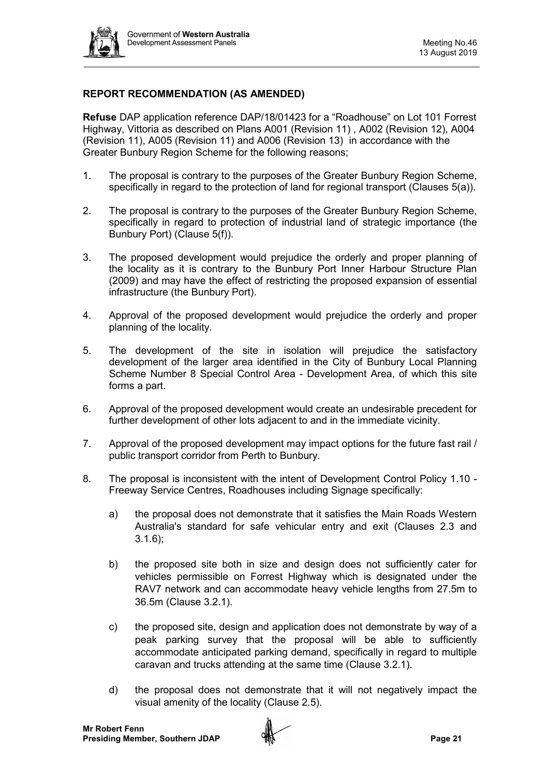

## **REPORT RECOMMENDATION (AS AMENDED)**

**Refuse** DAP application reference DAP/18/01423 for a "Roadhouse" on Lot 101 Forrest Highway, Vittoria as described on Plans A001 (Revision 11) , A002 (Revision 12), A004 (Revision 11), A005 (Revision 11) and A006 (Revision 13) in accordance with the Greater Bunbury Region Scheme for the following reasons;

- 1. The proposal is contrary to the purposes of the Greater Bunbury Region Scheme, specifically in regard to the protection of land for regional transport (Clauses 5(a)).
- 2. The proposal is contrary to the purposes of the Greater Bunbury Region Scheme, specifically in regard to protection of industrial land of strategic importance (the Bunbury Port) (Clause 5(f)).
- 3. The proposed development would prejudice the orderly and proper planning of the locality as it is contrary to the Bunbury Port Inner Harbour Structure Plan (2009) and may have the effect of restricting the proposed expansion of essential infrastructure (the Bunbury Port).
- 4. Approval of the proposed development would prejudice the orderly and proper planning of the locality.
- 5. The development of the site in isolation will prejudice the satisfactory development of the larger area identified in the City of Bunbury Local Planning Scheme Number 8 Special Control Area - Development Area, of which this site forms a part.
- 6. Approval of the proposed development would create an undesirable precedent for further development of other lots adjacent to and in the immediate vicinity.
- 7. Approval of the proposed development may impact options for the future fast rail / public transport corridor from Perth to Bunbury.
- 8. The proposal is inconsistent with the intent of Development Control Policy 1.10 Freeway Service Centres, Roadhouses including Signage specifically:
	- a) the proposal does not demonstrate that it satisfies the Main Roads Western Australia's standard for safe vehicular entry and exit (Clauses 2.3 and 3.1.6);
	- b) the proposed site both in size and design does not sufficiently cater for vehicles permissible on Forrest Highway which is designated under the RAV7 network and can accommodate heavy vehicle lengths from 27.5m to 36.5m (Clause 3.2.1).
	- c) the proposed site, design and application does not demonstrate by way of a peak parking survey that the proposal will be able to sufficiently accommodate anticipated parking demand, specifically in regard to multiple caravan and trucks attending at the same time (Clause 3.2.1).
	- d) the proposal does not demonstrate that it will not negatively impact the visual amenity of the locality (Clause 2.5).

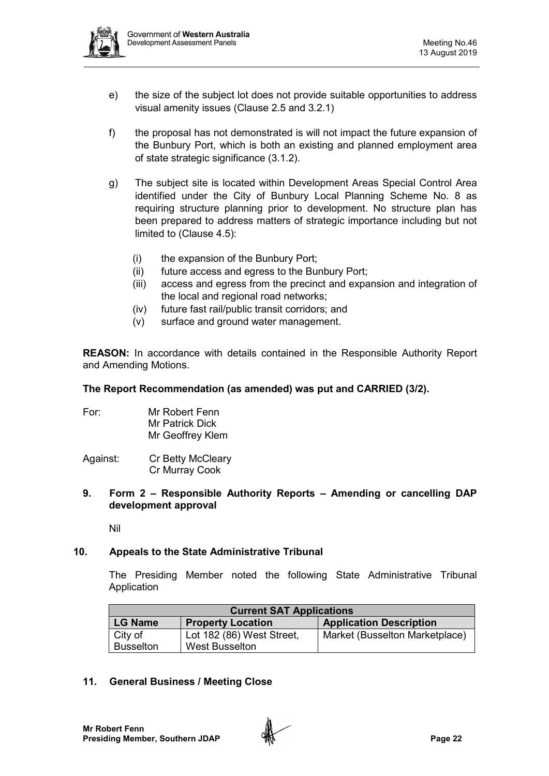

- e) the size of the subject lot does not provide suitable opportunities to address visual amenity issues (Clause 2.5 and 3.2.1)
- f) the proposal has not demonstrated is will not impact the future expansion of the Bunbury Port, which is both an existing and planned employment area of state strategic significance (3.1.2).
- g) The subject site is located within Development Areas Special Control Area identified under the City of Bunbury Local Planning Scheme No. 8 as requiring structure planning prior to development. No structure plan has been prepared to address matters of strategic importance including but not limited to (Clause 4.5):
	- (i) the expansion of the Bunbury Port;
	- (ii) future access and egress to the Bunbury Port;
	- (iii) access and egress from the precinct and expansion and integration of the local and regional road networks;
	- (iv) future fast rail/public transit corridors; and
	- (v) surface and ground water management.

**REASON:** In accordance with details contained in the Responsible Authority Report and Amending Motions.

## **The Report Recommendation (as amended) was put and CARRIED (3/2).**

For: Mr Robert Fenn Mr Patrick Dick Mr Geoffrey Klem

Against: Cr Betty McCleary Cr Murray Cook

#### **9. Form 2 – Responsible Authority Reports – Amending or cancelling DAP development approval**

Nil

## **10. Appeals to the State Administrative Tribunal**

The Presiding Member noted the following State Administrative Tribunal Application

| <b>Current SAT Applications</b> |                           |                                |  |  |
|---------------------------------|---------------------------|--------------------------------|--|--|
| <b>LG Name</b>                  | <b>Property Location</b>  | <b>Application Description</b> |  |  |
| City of                         | Lot 182 (86) West Street, | Market (Busselton Marketplace) |  |  |
| <b>Busselton</b>                | <b>West Busselton</b>     |                                |  |  |

## **11. General Business / Meeting Close**